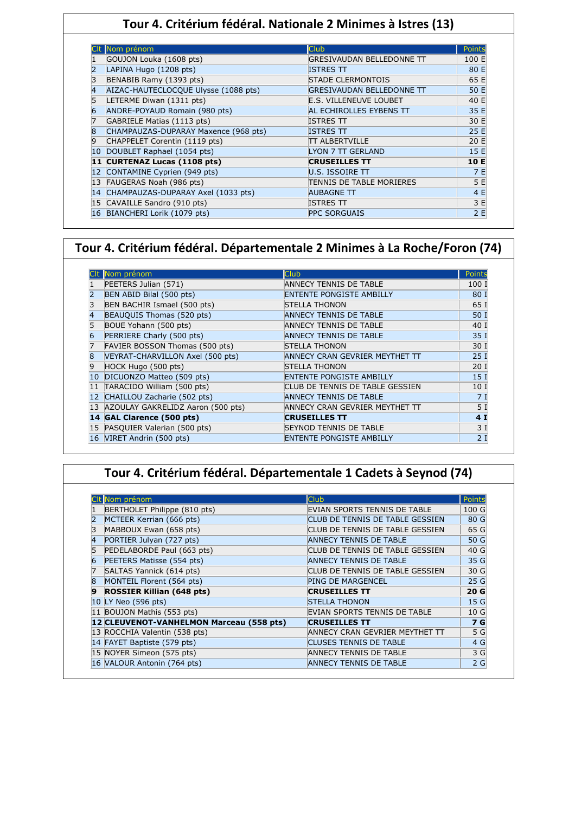### **Tour 4. Critérium fédéral. Nationale 2 Minimes à Istres (13)**

|    | Nom prénom                           | <b>Club</b>                      | Points |
|----|--------------------------------------|----------------------------------|--------|
|    | GOUJON Louka (1608 pts)              | GRESIVAUDAN BELLEDONNE TT        | 100 E  |
|    | LAPINA Hugo (1208 pts)               | <b>ISTRES TT</b>                 | 80 E   |
|    | BENABIB Ramy (1393 pts)              | <b>STADE CLERMONTOIS</b>         | 65 E   |
|    | AIZAC-HAUTECLOCQUE Ulysse (1088 pts) | <b>GRESIVAUDAN BELLEDONNE TT</b> | 50 E   |
|    | LETERME Diwan (1311 pts)             | <b>E.S. VILLENEUVE LOUBET</b>    | 40 E   |
| 6  | ANDRE-POYAUD Romain (980 pts)        | AL ECHIROLLES EYBENS TT          | 35 E   |
|    | GABRIELE Matias (1113 pts)           | <b>ISTRES TT</b>                 | 30 E   |
| 8  | CHAMPAUZAS-DUPARAY Maxence (968 pts) | <b>ISTRES TT</b>                 | 25 E   |
| 9  | CHAPPELET Corentin (1119 pts)        | TT ALBERTVILLE                   | 20 E   |
|    | DOUBLET Raphael (1054 pts)           | LYON 7 TT GERLAND                | 15 E   |
|    | 11 CURTENAZ Lucas (1108 pts)         | <b>CRUSEILLES TT</b>             | 10 E   |
|    | CONTAMINE Cyprien (949 pts)          | U.S. ISSOIRE $\Pi$               | 7 E    |
|    | 13 FAUGERAS Noah (986 pts)           | TENNIS DE TABLE MORIERES         | 5 E    |
| 14 | CHAMPAUZAS-DUPARAY Axel (1033 pts)   | <b>AUBAGNE TT</b>                | 4 E    |
|    | 15 CAVAILLE Sandro (910 pts)         | <b>ISTRES TT</b>                 | 3 E    |
|    | 16 BIANCHERI Lorik (1079 pts)        | <b>PPC SORGUAIS</b>              | 2E     |

### **Tour 4. Critérium fédéral. Départementale 2 Minimes à La Roche/Foron (74)**

|    | Nom prénom                        | Club.                           | Points          |
|----|-----------------------------------|---------------------------------|-----------------|
|    | PEETERS Julian (571)              | ANNECY TENNIS DE TABLE          | 100 I           |
|    | BEN ABID Bilal (500 pts)          | <b>ENTENTE PONGISTE AMBILLY</b> | 80 I            |
|    | BEN BACHIR Ismael (500 pts)       | <b>STELLA THONON</b>            | 65 I            |
|    | BEAUQUIS Thomas (520 pts)         | <b>ANNECY TENNIS DE TABLE</b>   | 50 I            |
|    | BOUE Yohann (500 pts)             | ANNECY TENNIS DE TABLE          | 40 I            |
|    | PERRIERE Charly (500 pts)         | <b>ANNECY TENNIS DE TABLE</b>   | 35 I            |
|    | FAVIER BOSSON Thomas (500 pts)    | <b>STELLA THONON</b>            | 30 I            |
|    | VEYRAT-CHARVILLON Axel (500 pts)  | ANNECY CRAN GEVRIER MEYTHET TT  | 25I             |
| 9  | HOCK Hugo (500 pts)               | <b>STELLA THONON</b>            | 20 <sub>1</sub> |
| 10 | DICUONZO Matteo (509 pts)         | <b>ENTENTE PONGISTE AMBILLY</b> | 15 <sub>1</sub> |
| 11 | TARACIDO William (500 pts)        | CLUB DE TENNIS DE TABLE GESSIEN | 10 I            |
| 12 | CHAILLOU Zacharie (502 pts)       | <b>ANNECY TENNIS DE TABLE</b>   | 7 I             |
| 13 | AZOULAY GAKRELIDZ Aaron (500 pts) | ANNECY CRAN GEVRIER MEYTHET TT  | 5 <sub>1</sub>  |
|    | 14 GAL Clarence (500 pts)         | <b>CRUSEILLES TT</b>            | 4 <sub>1</sub>  |
| 15 | PASQUIER Valerian (500 pts)       | <b>SEYNOD TENNIS DE TABLE</b>   | 3I              |
|    | 16 VIRET Andrin (500 pts)         | ENTENTE PONGISTE AMBILLY        | 2I              |

## **Tour 4. Critérium fédéral. Départementale 1 Cadets à Seynod (74)**

|   | CIt Nom prénom                           | <b>Club</b>                     | Points |
|---|------------------------------------------|---------------------------------|--------|
|   | BERTHOLET Philippe (810 pts)             | EVIAN SPORTS TENNIS DE TABLE    | 100 G  |
|   | MCTEER Kerrian (666 pts)                 | CLUB DE TENNIS DE TABLE GESSIEN | 80 G   |
|   | MABBOUX Ewan (658 pts)                   | CLUB DE TENNIS DE TABLE GESSIEN | 65 G   |
| 4 | PORTIER Julyan (727 pts)                 | <b>ANNECY TENNIS DE TABLE</b>   | 50 G   |
|   | PEDELABORDE Paul (663 pts)               | CLUB DE TENNIS DE TABLE GESSIEN | 40 G   |
|   | PEETERS Matisse (554 pts)                | <b>ANNECY TENNIS DE TABLE</b>   | 35 G   |
|   | SALTAS Yannick (614 pts)                 | CLUB DE TENNIS DE TABLE GESSIEN | 30 G   |
| 8 | MONTEIL Florent (564 pts)                | <b>PING DE MARGENCEL</b>        | 25 G   |
| 9 | <b>ROSSIER Killian (648 pts)</b>         | <b>CRUSEILLES TT</b>            | 20 G   |
|   | 10 LY Neo (596 pts)                      | <b>STELLA THONON</b>            | 15 G   |
|   | 11 BOUJON Mathis (553 pts)               | EVIAN SPORTS TENNIS DE TABLE    | 10 G   |
|   | 12 CLEUVENOT-VANHELMON Marceau (558 pts) | <b>CRUSEILLES TT</b>            | 7 G    |
|   | 13 ROCCHIA Valentin (538 pts)            | ANNECY CRAN GEVRIER MEYTHET TT  | 5 G    |
|   | 14 FAYET Baptiste (579 pts)              | <b>CLUSES TENNIS DE TABLE</b>   | 4 G    |
|   | 15 NOYER Simeon (575 pts)                | <b>ANNECY TENNIS DE TABLE</b>   | 3 G    |
|   | 16 VALOUR Antonin (764 pts)              | <b>ANNECY TENNIS DE TABLE</b>   | 2G     |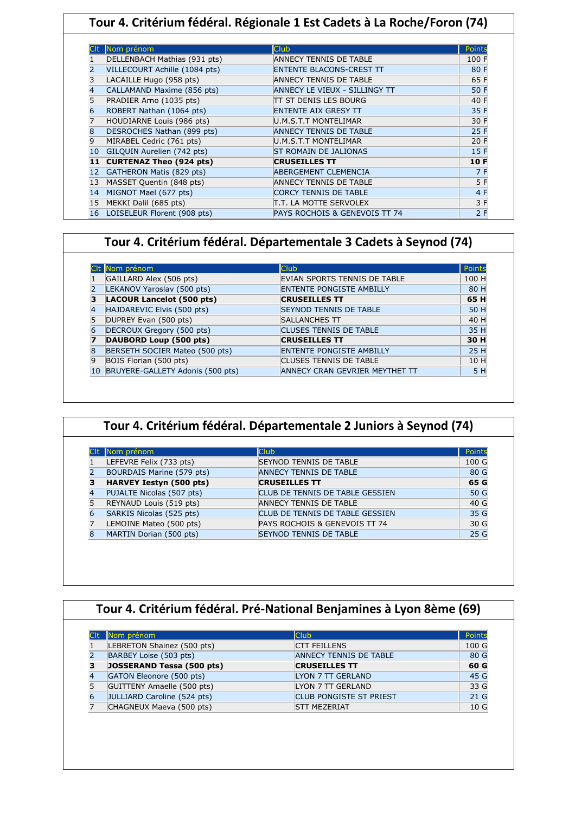| Tour 4. Critérium fédéral. Régionale 1 Est Cadets à La Roche/Foron (74) |                                |                                      |        |
|-------------------------------------------------------------------------|--------------------------------|--------------------------------------|--------|
|                                                                         |                                |                                      |        |
|                                                                         | Nom prénom                     | <b>Club</b>                          | Points |
|                                                                         | DELLENBACH Mathias (931 pts)   | ANNECY TENNIS DE TABLE               | 100 F  |
|                                                                         | VILLECOURT Achille (1084 pts)  | <b>ENTENTE BLACONS-CREST TT</b>      | 80 F   |
| 3                                                                       | LACAILLE Hugo (958 pts)        | <b>ANNECY TENNIS DE TABLE</b>        | 65 F   |
|                                                                         | CALLAMAND Maxime (856 pts)     | <b>ANNECY LE VIEUX - SILLINGY TT</b> | 50 F   |
|                                                                         | PRADIER Arno (1035 pts)        | ITT ST DENIS LES BOURG               | 40 F   |
| 6                                                                       | ROBERT Nathan (1064 pts)       | <b>ENTENTE AIX GRESY TT</b>          | 35 F   |
|                                                                         | HOUDIARNE Louis (986 pts)      | U.M.S.T.T MONTELIMAR                 | 30 F   |
| 8                                                                       | DESROCHES Nathan (899 pts)     | <b>ANNECY TENNIS DE TABLE</b>        | 25 F   |
| 9                                                                       | MIRABEL Cedric (761 pts)       | U.M.S.T.T MONTELIMAR                 | 20 F   |
| 10                                                                      | GILQUIN Aurelien (742 pts)     | <b>ST ROMAIN DE JALIONAS</b>         | 15 F   |
| 11                                                                      | <b>CURTENAZ Theo (924 pts)</b> | <b>CRUSEILLES TT</b>                 | 10 F   |
| 12                                                                      | GATHERON Matis (829 pts)       | <b>ABERGEMENT CLEMENCIA</b>          | 7 F    |
| 13                                                                      | MASSET Quentin (848 pts)       | <b>ANNECY TENNIS DE TABLE</b>        | 5 F    |
| 14                                                                      | MIGNOT Mael (677 pts)          | <b>CORCY TENNIS DE TABLE</b>         | 4 F    |
| 15                                                                      | MEKKI Dalil (685 pts)          | T.T. LA MOTTE SERVOLEX               | 3 F    |
| 16                                                                      | LOISELEUR Florent (908 pts)    | PAYS ROCHOIS & GENEVOIS TT 74        | 2F     |

## **Tour 4. Critérium fédéral. Départementale 3 Cadets à Seynod (74)**

|    | CIt Nom prénom                   | <b>Club</b>                     | Points |
|----|----------------------------------|---------------------------------|--------|
|    | GAILLARD Alex (506 pts)          | EVIAN SPORTS TENNIS DE TABLE    | 100 H  |
|    | LEKANOV Yaroslav (500 pts)       | <b>ENTENTE PONGISTE AMBILLY</b> | 80 H   |
|    | <b>LACOUR Lancelot (500 pts)</b> | <b>CRUSEILLES TT</b>            | 65 H   |
|    | HAJDAREVIC Elvis (500 pts)       | <b>SEYNOD TENNIS DE TABLE</b>   | 50 H   |
| 5  | DUPREY Evan (500 pts)            | SALLANCHES TT                   | 40 H   |
|    | DECROUX Gregory (500 pts)        | <b>CLUSES TENNIS DE TABLE</b>   | 35 H   |
|    | DAUBORD Loup (500 pts)           | <b>CRUSEILLES TT</b>            | 30 H   |
|    | BERSETH SOCIER Mateo (500 pts)   | <b>ENTENTE PONGISTE AMBILLY</b> | 25 H   |
| 9  | BOIS Florian (500 pts)           | <b>CLUSES TENNIS DE TABLE</b>   | 10 H   |
| 10 | BRUYERE-GALLETY Adonis (500 pts) | ANNECY CRAN GEVRIER MEYTHET TT  | 5 H    |

|                | Nom prénom                     | <b>Club</b>                     | Points |
|----------------|--------------------------------|---------------------------------|--------|
|                | LEFEVRE Felix (733 pts)        | <b>SEYNOD TENNIS DE TABLE</b>   | 100 G  |
|                | BOURDAIS Marine (579 pts)      | <b>ANNECY TENNIS DE TABLE</b>   | 80 G   |
| з              | <b>HARVEY Iestyn (500 pts)</b> | <b>CRUSEILLES TT</b>            | 65 G   |
| 4              | PUJALTE Nicolas (507 pts)      | CLUB DE TENNIS DE TABLE GESSIEN | 50 G   |
|                | REYNAUD Louis (519 pts)        | <b>ANNECY TENNIS DE TABLE</b>   | 40 G   |
| $\overline{6}$ | SARKIS Nicolas (525 pts)       | CLUB DE TENNIS DE TABLE GESSIEN | 35 G   |
|                | LEMOINE Mateo (500 pts)        | PAYS ROCHOIS & GENEVOIS TT 74   | 30 G   |
| $\overline{8}$ | MARTIN Dorian (500 pts)        | <b>SEYNOD TENNIS DE TABLE</b>   | 25 G   |

| Nom prénom                       | <b>Club</b>                    | Points          |
|----------------------------------|--------------------------------|-----------------|
| LEBRETON Shainez (500 pts)       | <b>CTT FEILLENS</b>            | 100 G           |
| BARBEY Loise (503 pts)           | <b>ANNECY TENNIS DE TABLE</b>  | 80 G            |
| <b>JOSSERAND Tessa (500 pts)</b> | <b>CRUSEILLES TT</b>           | 60 G            |
| GATON Eleonore (500 pts)         | <b>LYON 7 TT GERLAND</b>       | 45 G            |
| GUITTENY Amaelle (500 pts)       | LYON 7 TT GERLAND              | 33 G            |
| JULLIARD Caroline (524 pts)      | <b>CLUB PONGISTE ST PRIEST</b> | 21 <sub>G</sub> |
| CHAGNEUX Maeva (500 pts)         | <b>STT MEZERIAT</b>            | 10 <sub>G</sub> |